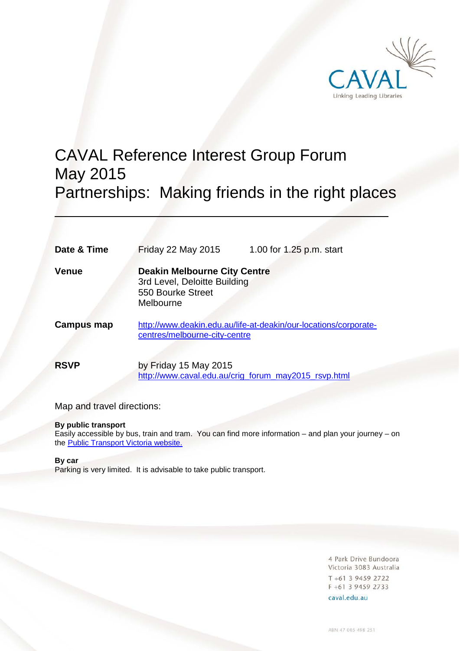

# CAVAL Reference Interest Group Forum May 2015 Partnerships: Making friends in the right places

| Date & Time       | <b>Friday 22 May 2015</b>                                                                             | 1.00 for 1.25 p.m. start |
|-------------------|-------------------------------------------------------------------------------------------------------|--------------------------|
| Venue             | <b>Deakin Melbourne City Centre</b><br>3rd Level, Deloitte Building<br>550 Bourke Street<br>Melbourne |                          |
| <b>Campus map</b> | http://www.deakin.edu.au/life-at-deakin/our-locations/corporate-<br>centres/melbourne-city-centre     |                          |
| <b>RSVP</b>       | by Friday 15 May 2015<br>http://www.caval.edu.au/crig_forum_may2015_rsvp.html                         |                          |

Map and travel directions:

# **By public transport**

Easily accessible by bus, train and tram. You can find more information – and plan your journey – on the [Public Transport Victoria website.](http://ptv.vic.gov.au/)

# **By car**

Parking is very limited. It is advisable to take public transport.

4 Park Drive Bundoora Victoria 3083 Australia T +61 3 9459 2722 F +61 3 9459 2733 caval.edu.au

ABN 47 005 498 251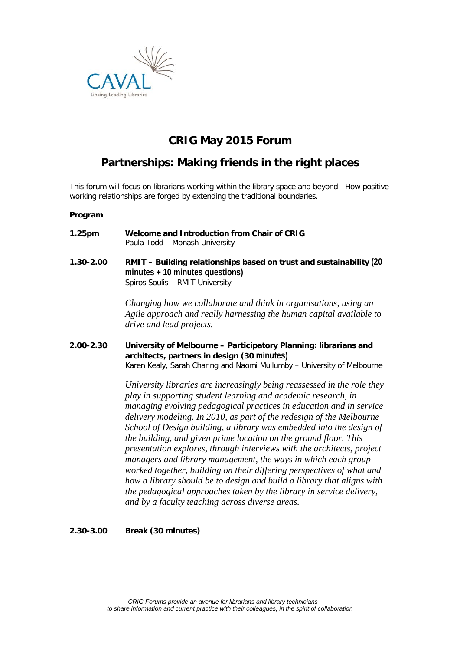

# **CRIG May 2015 Forum**

# **Partnerships: Making friends in the right places**

This forum will focus on librarians working within the library space and beyond. How positive working relationships are forged by extending the traditional boundaries.

# **Program**

**1.25pm Welcome and Introduction from Chair of CRIG** Paula Todd – Monash University **1.30-2.00 RMIT – Building relationships based on trust and sustainability (20 minutes + 10 minutes questions)** Spiros Soulis – RMIT University

> *Changing how we collaborate and think in organisations, using an Agile approach and really harnessing the human capital available to drive and lead projects.*

**2.00-2.30 University of Melbourne – Participatory Planning: librarians and architects, partners in design (30 minutes)**

Karen Kealy, Sarah Charing and Naomi Mullumby – University of Melbourne

*University libraries are increasingly being reassessed in the role they play in supporting student learning and academic research, in managing evolving pedagogical practices in education and in service delivery modeling. In 2010, as part of the redesign of the Melbourne School of Design building, a library was embedded into the design of the building, and given prime location on the ground floor. This presentation explores, through interviews with the architects, project managers and library management, the ways in which each group worked together, building on their differing perspectives of what and how a library should be to design and build a library that aligns with the pedagogical approaches taken by the library in service delivery, and by a faculty teaching across diverse areas.*

# **2.30-3.00 Break (30 minutes)**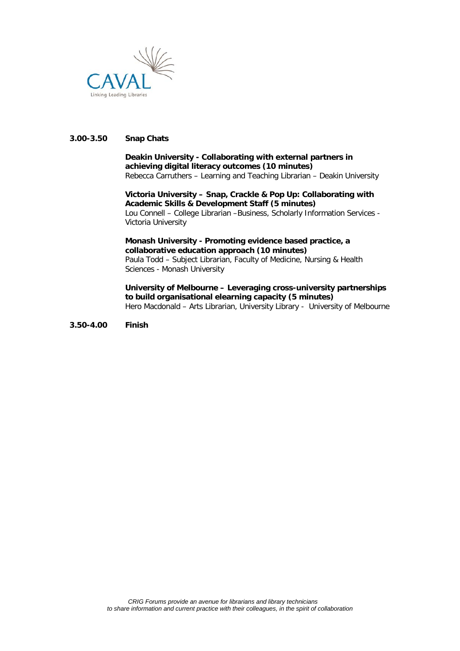

# **3.00-3.50 Snap Chats**

#### **Deakin University - Collaborating with external partners in achieving digital literacy outcomes (10 minutes)** Rebecca Carruthers – Learning and Teaching Librarian – Deakin University

**Victoria University – Snap, Crackle & Pop Up: Collaborating with Academic Skills & Development Staff (5 minutes)** Lou Connell – College Librarian –Business, Scholarly Information Services - Victoria University

**Monash University - Promoting evidence based practice, a collaborative education approach (10 minutes)** Paula Todd – Subject Librarian, Faculty of Medicine, Nursing & Health Sciences - Monash University

**University of Melbourne – Leveraging cross-university partnerships to build organisational elearning capacity (5 minutes)** Hero Macdonald – Arts Librarian, University Library - University of Melbourne

**3.50-4.00 Finish**